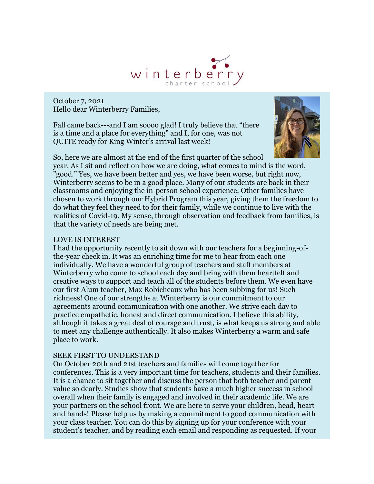

October 7, 2021 Hello dear Winterberry Families,

Fall came back---and I am soooo glad! I truly believe that "there is a time and a place for everything" and I, for one, was not QUITE ready for King Winter's arrival last week!



So, here we are almost at the end of the first quarter of the school

year. As I sit and reflect on how we are doing, what comes to mind is the word, "good." Yes, we have been better and yes, we have been worse, but right now, Winterberry seems to be in a good place. Many of our students are back in their classrooms and enjoying the in-person school experience. Other families have chosen to work through our Hybrid Program this year, giving them the freedom to do what they feel they need to for their family, while we continue to live with the realities of Covid-19. My sense, through observation and feedback from families, is that the variety of needs are being met.

### LOVE IS INTEREST

I had the opportunity recently to sit down with our teachers for a beginning-ofthe-year check in. It was an enriching time for me to hear from each one individually. We have a wonderful group of teachers and staff members at Winterberry who come to school each day and bring with them heartfelt and creative ways to support and teach all of the students before them. We even have our first Alum teacher, Max Robicheaux who has been subbing for us! Such richness! One of our strengths at Winterberry is our commitment to our agreements around communication with one another. We strive each day to practice empathetic, honest and direct communication. I believe this ability, although it takes a great deal of courage and trust, is what keeps us strong and able to meet any challenge authentically. It also makes Winterberry a warm and safe place to work.

### SEEK FIRST TO UNDERSTAND

On October 20th and 21st teachers and families will come together for conferences. This is a very important time for teachers, students and their families. It is a chance to sit together and discuss the person that both teacher and parent value so dearly. Studies show that students have a much higher success in school overall when their family is engaged and involved in their academic life. We are your partners on the school front. We are here to serve your children, head, heart and hands! Please help us by making a commitment to good communication with your class teacher. You can do this by signing up for your conference with your student's teacher, and by reading each email and responding as requested. If your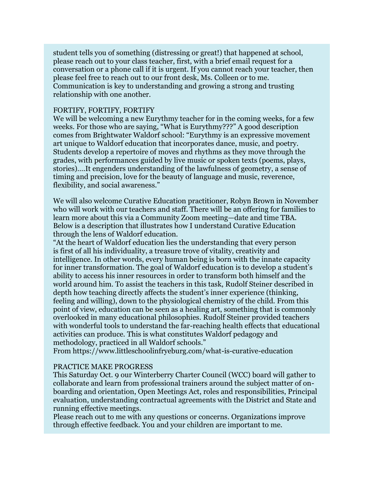student tells you of something (distressing or great!) that happened at school, please reach out to your class teacher, first, with a brief email request for a conversation or a phone call if it is urgent. If you cannot reach your teacher, then please feel free to reach out to our front desk, Ms. Colleen or to me. Communication is key to understanding and growing a strong and trusting relationship with one another.

### FORTIFY, FORTIFY, FORTIFY

We will be welcoming a new Eurythmy teacher for in the coming weeks, for a few weeks. For those who are saying, "What is Eurythmy???" A good description comes from Brightwater Waldorf school: "Eurythmy is an expressive movement art unique to Waldorf education that incorporates dance, music, and poetry. Students develop a repertoire of moves and rhythms as they move through the grades, with performances guided by live music or spoken texts (poems, plays, stories)….It engenders understanding of the lawfulness of geometry, a sense of timing and precision, love for the beauty of language and music, reverence, flexibility, and social awareness."

We will also welcome Curative Education practitioner, Robyn Brown in November who will work with our teachers and staff. There will be an offering for families to learn more about this via a Community Zoom meeting—date and time TBA. Below is a description that illustrates how I understand Curative Education through the lens of Waldorf education.

"At the heart of Waldorf education lies the understanding that every person is first of all his individuality, a treasure trove of vitality, creativity and intelligence. In other words, every human being is born with the innate capacity for inner transformation. The goal of Waldorf education is to develop a student's ability to access his inner resources in order to transform both himself and the world around him. To assist the teachers in this task, Rudolf Steiner described in depth how teaching directly affects the student's inner experience (thinking, feeling and willing), down to the physiological chemistry of the child. From this point of view, education can be seen as a healing art, something that is commonly overlooked in many educational philosophies. Rudolf Steiner provided teachers with wonderful tools to understand the far-reaching health effects that educational activities can produce. This is what constitutes Waldorf pedagogy and methodology, practiced in all Waldorf schools."

From https://www.littleschoolinfryeburg.com/what-is-curative-education

### PRACTICE MAKE PROGRESS

This Saturday Oct. 9 our Winterberry Charter Council (WCC) board will gather to collaborate and learn from professional trainers around the subject matter of onboarding and orientation, Open Meetings Act, roles and responsibilities, Principal evaluation, understanding contractual agreements with the District and State and running effective meetings.

Please reach out to me with any questions or concerns. Organizations improve through effective feedback. You and your children are important to me.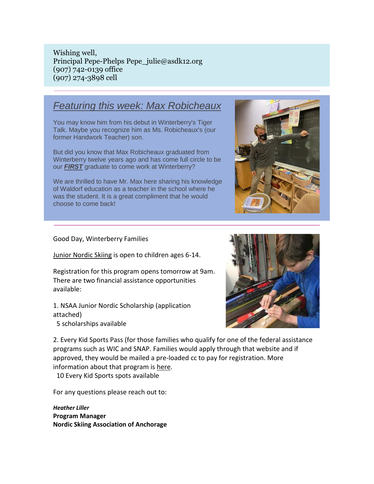Wishing well, Principal Pepe-Phelps Pepe\_julie@asdk12.org (907) 742-0139 office (907) 274-3898 cell

### *Featuring this week: Max Robicheaux*

You may know him from his debut in Winterberry's Tiger Talk. Maybe you recognize him as Ms. Robicheaux's (our former Handwork Teacher) son.

But did you know that Max Robicheaux graduated from Winterberry twelve years ago and has come full circle to be our *FIRST* graduate to come work at Winterberry?

We are thrilled to have Mr. Max here sharing his knowledge of Waldorf education as a teacher in the school where he was the student. It is a great compliment that he would choose to come back!



Good Day, Winterberry Families

[Junior Nordic Skiing](https://nam12.safelinks.protection.outlook.com/?url=https%3A%2F%2Fr20.rs6.net%2Ftn.jsp%3Ff%3D001-ror0pp8DE8IGDdmJjKrJw8MdbikM_mQ0v-x8auXINy1kBIdfLnm-VKdSXtLBXe_T3Tc7LgRuJULWyo3-aPWDx8JHl16gX8seapJUrT04wEbHtZ-1gWkCqu5hLi67KstGGWCJZtXj9OIv7328uD9y_uUmHhBuxUrlnOPp4Agtvxis2ub-7VOIBlnvaOy_NgMANdtW1g2t3YnW5QY8od3k3fdbib6UWGqkupZYcG4VDZITIyqTPda-G_u90WFuRq8jJx1w3ST3Gn95Ofu7_EjfJZhP9iQ9b2zQFC2BdvEryrIH5TCu9_OQFmVZEFk5cVQsE9dUIUo49kcwzzt2ia0Xn8av3jq8VQimL6CCBJH37gKaqSh01rXbL4Dwwc1-eyvK-jWQJ9wxb9P3UCp40a4_x-lR9vbkpeMTLobiLLKNdfR6ziZ3LOX2i22gKgZYRApucCUzUuO7lXqgLsW24q4T_7z-N3leTf74_A4iS_RjXcEwN3-srA_4AP5QCd6__AjRMnAYKufrX9gKhzD7alpjrZmfmXcQvshRAbfGqpJD-xgNqhIgq6l01EQSZH8BPwryiu8ZqBpHeH4GAaO9KBAT7OfUrply2VflkNFjz876DbmFXuKN8KqZGekbw8xdJJJ0C8FvJMiF1TXklH6bNH7cPvwSHElpPabqe8Cd7FWROADY_VlGD3wJRF2lJhQUCdH2HioOo8QSD8bpplom-TX6vCImb9-nMA9%26c%3DirT5VC6mjaGRYtmxhMQqqkm3QgCOMb13KbvOaFtpzJJBiuMMNDCkoQ%3D%3D%26ch%3DQYGBGdzf1Tt3yr1vifZ0LYLqlgGrw30DPzW9BwcPEjm53lL4TnlWRg%3D%3D&data=04%7C01%7Cgarrels_shana%40asdk12.org%7Cf15ad3c612b24bec09b808d989d9ca1d%7C036ce601e95a4e46a3bd6b742ed4bb35%7C0%7C0%7C637692390781953776%7CUnknown%7CTWFpbGZsb3d8eyJWIjoiMC4wLjAwMDAiLCJQIjoiV2luMzIiLCJBTiI6Ik1haWwiLCJXVCI6Mn0%3D%7C1000&sdata=BO6XXZ6Aic8VIKsnNHQrM2ssR%2Fpo2k8lyCsDHelrZZk%3D&reserved=0) is open to children ages 6-14.

Registration for this program opens tomorrow at 9am. There are two financial assistance opportunities available:

1. NSAA Junior Nordic Scholarship (application attached)

5 scholarships available



2. Every Kid Sports Pass (for those families who qualify for one of the federal assistance programs such as WIC and SNAP. Families would apply through that website and if approved, they would be mailed a pre-loaded cc to pay for registration. More information about that program is [here.](https://nam12.safelinks.protection.outlook.com/?url=https%3A%2F%2Fr20.rs6.net%2Ftn.jsp%3Ff%3D001-ror0pp8DE8IGDdmJjKrJw8MdbikM_mQ0v-x8auXINy1kBIdfLnm-VKdSXtLBXe_eA1D_82GTmUhiqmx-CvxHRlajZsXsHUKagVizcSRZesgIOkgA2x1AGZF62yIyzzmcrDm5QEB7xHaYjnP_DrxmiFZxYNVlCdK0qQIgz0hs1k162m-8aSLnxFxqcTgYewWU6n20Dnn_2qfrN7OYKKC5P0c8DiBM4IAjDq5bDtmfWnVIN-sl9j4e6K3axHPCIPEdSKnD-JNoTKFj_1ByD-t9okWhC1_WJUn7BZWpssBF-G4Hu0Bu6_OvZjDKKcMCD6e6-gnat4zCm5s3rp5Nz3lv_xdBVr1UQP26FSlK8wOQiXNExTNg0R3QkawsDtaWtVkKUgTmw_Hb1MeFru78gb6GIHkDcHNBLWV7DgKVLDWEfwC2lMRVWno34lvdDpfRDO7PFGhY4KDveQ13g43pTEv6j9PwnLedCNWlZmIcX8R3YMDG_VRsHtC-jWXAn1J-aopspfDR6cAjTZLPF97JWczH9nygUfReGvoLeNteqWWnH9KVwd4NRB2IPM9Tco8MmoJks4JGX3szdJkxpQb_y1ATYaKKlDMibCR9n9vZXvmj7KPu-hJ3TtBrnjWC4YVCx8qynOeryK8dKkUOxOCxmGC_4QIhpj3vMTd4h1TllK22ilj25hd4qiaL5NItPTT8rZSUM4Hfq6V4Q0%3D%26c%3DirT5VC6mjaGRYtmxhMQqqkm3QgCOMb13KbvOaFtpzJJBiuMMNDCkoQ%3D%3D%26ch%3DQYGBGdzf1Tt3yr1vifZ0LYLqlgGrw30DPzW9BwcPEjm53lL4TnlWRg%3D%3D&data=04%7C01%7Cgarrels_shana%40asdk12.org%7Cf15ad3c612b24bec09b808d989d9ca1d%7C036ce601e95a4e46a3bd6b742ed4bb35%7C0%7C0%7C637692390781963731%7CUnknown%7CTWFpbGZsb3d8eyJWIjoiMC4wLjAwMDAiLCJQIjoiV2luMzIiLCJBTiI6Ik1haWwiLCJXVCI6Mn0%3D%7C1000&sdata=mZnPmZQOyiZ0jMfKh3fK04UVVaxafQLC0qy8%2FzL3twI%3D&reserved=0)

10 Every Kid Sports spots available

For any questions please reach out to:

*Heather Liller* **Program Manager Nordic Skiing Association of Anchorage**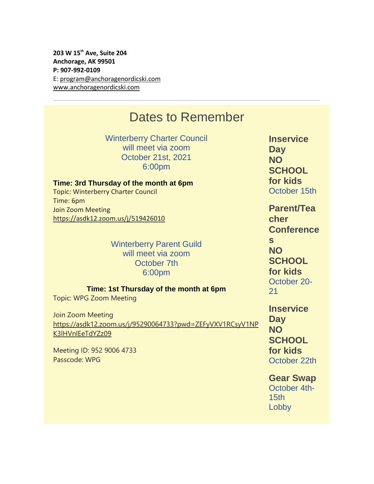**203 W 15th Ave, Suite 204 Anchorage, AK 99501 P: 907-992-0109** E: [program@anchoragenordicski.com](mailto:program@anchoragenordicski.com) [www.anchoragenordicski.com](https://nam12.safelinks.protection.outlook.com/?url=https%3A%2F%2Fr20.rs6.net%2Ftn.jsp%3Ff%3D001-ror0pp8DE8IGDdmJjKrJw8MdbikM_mQ0v-x8auXINy1kBIdfLnm-VKdSXtLBXe_6PC-Ndbmcj9uJheDJbvXCtZ3SIqqAC_1fsAuixy1_TnT_fuKqEnNXV7YxSqWy8s7BTk9juxMmYIGZuiQjkNz_XXSLGSHiNY4R1lq2cpglK9IQ0a7Z0A26yJo8r1PZqXnrmCFd18n409UiLBi_UunP38IbxbjSh14g7WvdCYsIhKO2eHhmdR5JbDSzTwlquC3tdzwLEAyz6Ubs1BwokDcmYsYPwM_XkrDq_ES8CqJlFc74hmEY4HXHouGUvbwTmqCkt5mk3e_RMvvbaTq8whFaeJYzCtyR6CKIGT66t6k6iQYFFYiqmo6iNaROWOC3olB5sRzesaAYrAzIobgEItZmdJiVffQa0AOoPgDWA5tyeWz0QHjjB3dQO2KYJhxPIzoXJ7xrFjHBFLaWqLVHxXjhK2Gfjf5MyM9L73_iueSNEpe544uQaprhm42Viy2zGJ_poMKNiTneIJuOjLiHwMEG3PpTfmgHSB3qmmhfSApfgKEuv2TbL9i9w0IvEGfP0ik7vOgqJUagmSMV1ucARlP0XWtxV1rHLcitlTM54O40ewQS5P4HgR4fIcYaPIyHxhLS830Qfpv4GqkGsRuEJPDFqiB3KEZgRb9BEVFGTGcvgEd_mibWThxoLfDPVXsnwDSOkvqKrfGO07DYPNYWO9YMg%3D%3D%26c%3DirT5VC6mjaGRYtmxhMQqqkm3QgCOMb13KbvOaFtpzJJBiuMMNDCkoQ%3D%3D%26ch%3DQYGBGdzf1Tt3yr1vifZ0LYLqlgGrw30DPzW9BwcPEjm53lL4TnlWRg%3D%3D&data=04%7C01%7Cgarrels_shana%40asdk12.org%7Cf15ad3c612b24bec09b808d989d9ca1d%7C036ce601e95a4e46a3bd6b742ed4bb35%7C0%7C0%7C637692390781963731%7CUnknown%7CTWFpbGZsb3d8eyJWIjoiMC4wLjAwMDAiLCJQIjoiV2luMzIiLCJBTiI6Ik1haWwiLCJXVCI6Mn0%3D%7C1000&sdata=rPFNAhH2KFWiY4vFnemZcq86fVabbNj%2FK7RSuYqot6Y%3D&reserved=0)

# Dates to Remember

Winterberry Charter Council will meet via zoom October 21st, 2021 6:00pm

**Time: 3rd Thursday of the month at 6pm** Topic: Winterberry Charter Council Time: 6pm Join Zoom Meeting [https://asdk12.zoom.us/j/519426010](https://nam12.safelinks.protection.outlook.com/?url=https%3A%2F%2Fr20.rs6.net%2Ftn.jsp%3Ff%3D001-ror0pp8DE8IGDdmJjKrJw8MdbikM_mQ0v-x8auXINy1kBIdfLnm-V7HX691tYEPasD_mGh1uabWA-_AklzOdUQWayw5lc5rFnTRWejgqF5iMPh38Gf2hW4TlcJRBJgDD4sOGJr2nmhMretaDz5hB6xHullanzpmt6e75sgBusyCe8k7d14n-Gl_u2yfVDAgpx7yVaNMVdbRkjIBWKezijAB6LOKZ4_lbmy0O1hMY7qI0iLl6CB9qJ6zVPsQfWIZrqmETXEAPo4QKdhAHbE_BbwFugCKnpJADb_PoMp4quiA2Fj6eYb18JG6O1dv1uPvehMDANQI6j6Oc8MthGgn5GP7EZwE9HlC_KHWJlf24RDo9-rU2eWJ29MPMJtkto2XTUNeawlk96v2ne3xJ7UQZSecgafBN8Y3Jye0VytSfZpGrCD66WesqihTWmlFQHBGFPE7hPIwf_Kv63ShaU2mH9Vu19-G0OKyMFFj3DLB9XZjsuy5SoofoFz8YrJQJS6g7xged1EziQNQpKiW6fl0xWiBJoVzw3hDdR22Php4Mc88iqs3SD-OeJT8WtpA6KjF2OQslhmk2Z5eS4aiNv51Gfd8C0LVqB5c453XgzZrn5YehF7uLt9EB6xTVnlNqdixZYoPfWTcdenVV9CGDUSTq-B-zechfU1EXzeROQL5QKxJF88dPReQKewmZNIZTYEJ_zGHGQdN2o0Y8CU2mboRUg%3D%3D%26c%3DirT5VC6mjaGRYtmxhMQqqkm3QgCOMb13KbvOaFtpzJJBiuMMNDCkoQ%3D%3D%26ch%3DQYGBGdzf1Tt3yr1vifZ0LYLqlgGrw30DPzW9BwcPEjm53lL4TnlWRg%3D%3D&data=04%7C01%7Cgarrels_shana%40asdk12.org%7Cf15ad3c612b24bec09b808d989d9ca1d%7C036ce601e95a4e46a3bd6b742ed4bb35%7C0%7C0%7C637692390781973684%7CUnknown%7CTWFpbGZsb3d8eyJWIjoiMC4wLjAwMDAiLCJQIjoiV2luMzIiLCJBTiI6Ik1haWwiLCJXVCI6Mn0%3D%7C1000&sdata=aSUUtYjFTjln7rB3rIQLP1b%2F1p5Rr%2FKPpLp9L4El%2BUk%3D&reserved=0)

> Winterberry Parent Guild will meet via zoom October 7th 6:00pm

**Time: 1st Thursday of the month at 6pm**

Topic: WPG Zoom Meeting

Join Zoom Meeting [https://asdk12.zoom.us/j/95290064733?pwd=ZEFyVXV1RCsyV1NP](https://nam12.safelinks.protection.outlook.com/?url=https%3A%2F%2Fr20.rs6.net%2Ftn.jsp%3Ff%3D001-ror0pp8DE8IGDdmJjKrJw8MdbikM_mQ0v-x8auXINy1kBIdfLnm-V7HX691tYEPGWgWh6ayXEHirg8_BOksMpOHoDRb1HaWHvP3ihIHFoQtEnLiX9MkXyj3ecUQjDK6L1sEdShsb3BONv4kAaPrN_ZBOFdZGkprRtY-ZdDaxFd1X-mqJjwCxjGOfNZI1he6W2tAYJLoiYj_AO9vag-d3xM34Pjd245DQm3RePpHRRAHsNCHG8_iKKTuTAXSAYpQ0CLoNFxbygh_Ywt9osuaxvTSgo3eVU2omZ4KoBak69IYjk3GMKm46yt7KVujc3yyNLdprJ9GrqPWdhgFwwCdUNZP9l4HB692bAOOi9dcai0GVjesZjkhfKKZ1WJJN-ROvkIoaiNRoiwEW2m0M1u9oREzPDLi6Tw6xdZlg7JlvnE8z6eYaSWs4sgvXzF9xriup1KpE1tM4n6K7_k6bKOAdf98ggCYhATZd-oP55nwZiiSct5h6thWEGO-uzNDWjOy354T0BultsCL2wZX6npdHvgy4xbX6qsz-wfxH_O-3aUlGLMknYK2GczpM_klx_XBqOp9z4F0GS2EizZxXdKGkLtCJMZfTKzuAoNNCuTqcxqBV4deSC7YJiZwF777Dv1tY8O_3LKn-aePCn2XpsHUvo68Nyt5gKyJdfVZ2tjcpFfvGxpL_A2Ji1EjJlb_BVHf9AJaOBIS1OaxrZ68sD-Xgast1tk_eKP2akREY-SDPEJouhLzUZkD7RpthU3A-BwF5u1BX2MASKVptib-sCeqPg%3D%3D%26c%3DirT5VC6mjaGRYtmxhMQqqkm3QgCOMb13KbvOaFtpzJJBiuMMNDCkoQ%3D%3D%26ch%3DQYGBGdzf1Tt3yr1vifZ0LYLqlgGrw30DPzW9BwcPEjm53lL4TnlWRg%3D%3D&data=04%7C01%7Cgarrels_shana%40asdk12.org%7Cf15ad3c612b24bec09b808d989d9ca1d%7C036ce601e95a4e46a3bd6b742ed4bb35%7C0%7C0%7C637692390781973684%7CUnknown%7CTWFpbGZsb3d8eyJWIjoiMC4wLjAwMDAiLCJQIjoiV2luMzIiLCJBTiI6Ik1haWwiLCJXVCI6Mn0%3D%7C1000&sdata=MZy4jygJzCbtODXTmSC4ZOKzDGCSqrOwGSi9teKpjLc%3D&reserved=0) [K3lHVnlEeTdYZz09](https://nam12.safelinks.protection.outlook.com/?url=https%3A%2F%2Fr20.rs6.net%2Ftn.jsp%3Ff%3D001-ror0pp8DE8IGDdmJjKrJw8MdbikM_mQ0v-x8auXINy1kBIdfLnm-V7HX691tYEPGWgWh6ayXEHirg8_BOksMpOHoDRb1HaWHvP3ihIHFoQtEnLiX9MkXyj3ecUQjDK6L1sEdShsb3BONv4kAaPrN_ZBOFdZGkprRtY-ZdDaxFd1X-mqJjwCxjGOfNZI1he6W2tAYJLoiYj_AO9vag-d3xM34Pjd245DQm3RePpHRRAHsNCHG8_iKKTuTAXSAYpQ0CLoNFxbygh_Ywt9osuaxvTSgo3eVU2omZ4KoBak69IYjk3GMKm46yt7KVujc3yyNLdprJ9GrqPWdhgFwwCdUNZP9l4HB692bAOOi9dcai0GVjesZjkhfKKZ1WJJN-ROvkIoaiNRoiwEW2m0M1u9oREzPDLi6Tw6xdZlg7JlvnE8z6eYaSWs4sgvXzF9xriup1KpE1tM4n6K7_k6bKOAdf98ggCYhATZd-oP55nwZiiSct5h6thWEGO-uzNDWjOy354T0BultsCL2wZX6npdHvgy4xbX6qsz-wfxH_O-3aUlGLMknYK2GczpM_klx_XBqOp9z4F0GS2EizZxXdKGkLtCJMZfTKzuAoNNCuTqcxqBV4deSC7YJiZwF777Dv1tY8O_3LKn-aePCn2XpsHUvo68Nyt5gKyJdfVZ2tjcpFfvGxpL_A2Ji1EjJlb_BVHf9AJaOBIS1OaxrZ68sD-Xgast1tk_eKP2akREY-SDPEJouhLzUZkD7RpthU3A-BwF5u1BX2MASKVptib-sCeqPg%3D%3D%26c%3DirT5VC6mjaGRYtmxhMQqqkm3QgCOMb13KbvOaFtpzJJBiuMMNDCkoQ%3D%3D%26ch%3DQYGBGdzf1Tt3yr1vifZ0LYLqlgGrw30DPzW9BwcPEjm53lL4TnlWRg%3D%3D&data=04%7C01%7Cgarrels_shana%40asdk12.org%7Cf15ad3c612b24bec09b808d989d9ca1d%7C036ce601e95a4e46a3bd6b742ed4bb35%7C0%7C0%7C637692390781973684%7CUnknown%7CTWFpbGZsb3d8eyJWIjoiMC4wLjAwMDAiLCJQIjoiV2luMzIiLCJBTiI6Ik1haWwiLCJXVCI6Mn0%3D%7C1000&sdata=MZy4jygJzCbtODXTmSC4ZOKzDGCSqrOwGSi9teKpjLc%3D&reserved=0)

Meeting ID: 952 9006 4733 Passcode: WPG

**Inservice Day NO SCHOOL for kids** October 15th

**Parent/Tea cher Conference s NO SCHOOL for kids** October 20- 21

**Inservice Day NO SCHOOL for kids** October 22th

**Gear Swap** October 4th-15th Lobby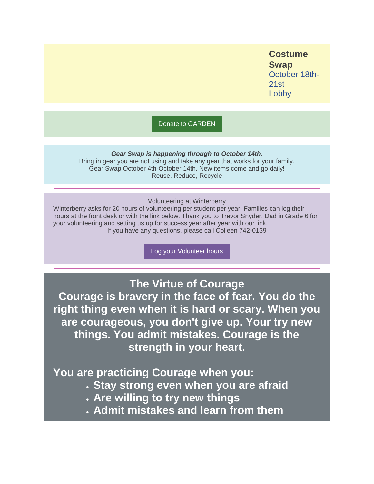**Costume Swap** October 18th-21st Lobby

[Donate to GARDEN](https://nam12.safelinks.protection.outlook.com/?url=https%3A%2F%2Fr20.rs6.net%2Ftn.jsp%3Ff%3D001-ror0pp8DE8IGDdmJjKrJw8MdbikM_mQ0v-x8auXINy1kBIdfLnm-Q5_OjwwT_Sh9cGKVSpM_qoOefq0z88XCHDKEOqUKIPtIGpD5Jj6cPsLhBa1kY0T12gotywB0sxl0oA-HSV4YJ0qWsm7WCeMOq06T-ambUxSjyuJ88BfbXOJ1l2urP6bWrXCJvjqiwjOMKR_7MuFmHtl8KLvecKgSKXHui-S3Ohp%26c%3DirT5VC6mjaGRYtmxhMQqqkm3QgCOMb13KbvOaFtpzJJBiuMMNDCkoQ%3D%3D%26ch%3DQYGBGdzf1Tt3yr1vifZ0LYLqlgGrw30DPzW9BwcPEjm53lL4TnlWRg%3D%3D&data=04%7C01%7Cgarrels_shana%40asdk12.org%7Cf15ad3c612b24bec09b808d989d9ca1d%7C036ce601e95a4e46a3bd6b742ed4bb35%7C0%7C0%7C637692390781983643%7CUnknown%7CTWFpbGZsb3d8eyJWIjoiMC4wLjAwMDAiLCJQIjoiV2luMzIiLCJBTiI6Ik1haWwiLCJXVCI6Mn0%3D%7C1000&sdata=BJA%2BfwXGxkeqdHz1tzUwfM0hO5taHao1pkWRnhEgklk%3D&reserved=0)

*Gear Swap is happening through to October 14th.*

Bring in gear you are not using and take any gear that works for your family. Gear Swap October 4th-October 14th. New items come and go daily! Reuse, Reduce, Recycle

Volunteering at Winterberry

Winterberry asks for 20 hours of volunteering per student per year. Families can log their hours at the front desk or with the link below. Thank you to Trevor Snyder, Dad in Grade 6 for your volunteering and setting us up for success year after year with our link. If you have any questions, please call Colleen 742-0139

[Log your Volunteer hours](https://nam12.safelinks.protection.outlook.com/?url=https%3A%2F%2Fr20.rs6.net%2Ftn.jsp%3Ff%3D001-ror0pp8DE8IGDdmJjKrJw8MdbikM_mQ0v-x8auXINy1kBIdfLnm-Y-hPZJHSRgMuN1N5PZzior_1zVNLqJJzVqsrX-dKf8_McHI7nCXEhBHe0wwuzDzQY9aZlLeGR5sX1EF7_-hvgTA3C24ZvQ1uJrL2ILmv52kK1HyH9cr6BgrUuTi2eIBdfYp0_4FiE3h4V_xlXMAZfS1HjUjbqmArPXniO755aMEtNYleibzeUhrR-vRDjypnBVqebdtqn_O9uN7wDP-RaCVd2TWAiQaMg%3D%3D%26c%3DirT5VC6mjaGRYtmxhMQqqkm3QgCOMb13KbvOaFtpzJJBiuMMNDCkoQ%3D%3D%26ch%3DQYGBGdzf1Tt3yr1vifZ0LYLqlgGrw30DPzW9BwcPEjm53lL4TnlWRg%3D%3D&data=04%7C01%7Cgarrels_shana%40asdk12.org%7Cf15ad3c612b24bec09b808d989d9ca1d%7C036ce601e95a4e46a3bd6b742ed4bb35%7C0%7C0%7C637692390781983643%7CUnknown%7CTWFpbGZsb3d8eyJWIjoiMC4wLjAwMDAiLCJQIjoiV2luMzIiLCJBTiI6Ik1haWwiLCJXVCI6Mn0%3D%7C1000&sdata=SZ10OZy0W1Wdh9k%2FCNrnC4rHf410wNC%2FaxAv9s9EiwU%3D&reserved=0)

**The Virtue of Courage**

**Courage is bravery in the face of fear. You do the right thing even when it is hard or scary. When you are courageous, you don't give up. Your try new things. You admit mistakes. Courage is the strength in your heart.**

**You are practicing Courage when you:**

- **Stay strong even when you are afraid**
- **Are willing to try new things**
- **Admit mistakes and learn from them**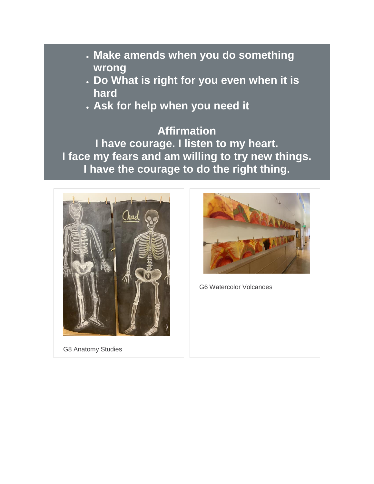- **Make amends when you do something wrong**
- **Do What is right for you even when it is hard**
- **Ask for help when you need it**

## **Affirmation**

**I have courage. I listen to my heart. I face my fears and am willing to try new things. I have the courage to do the right thing.**



G8 Anatomy Studies



G6 Watercolor Volcanoes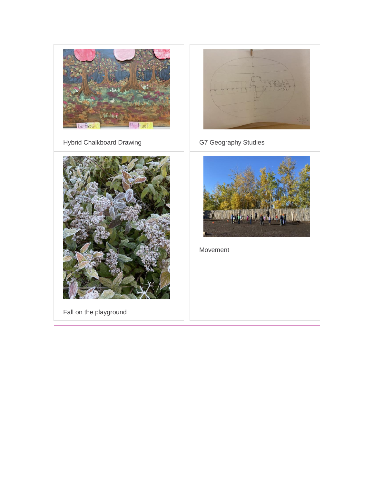



Fall on the playground



Hybrid Chalkboard Drawing **G7 Geography Studies** 



Movement